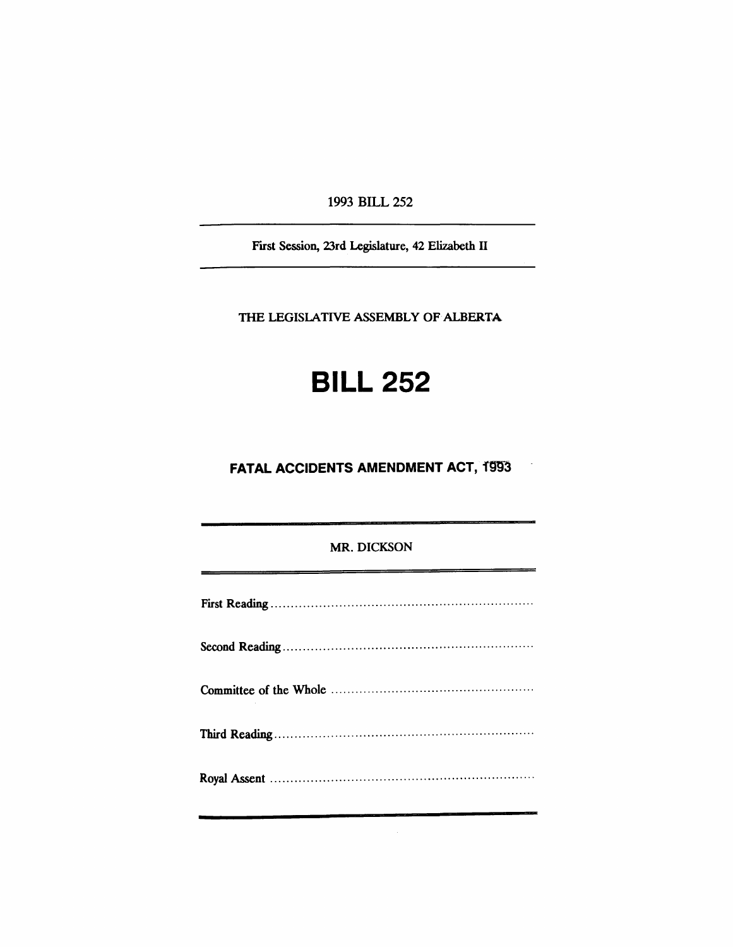1993 BILL 252

First Session, 23rd Legislature, 42 Elizabeth II

THE LEGISlATIVE ASSEMBLY OF ALBERTA

# **BILL 252**

**FATAL ACCIDENTS AMENDMENT ACT, 1993** 

 $\overline{\phantom{a}}$ 

### MR. DICKSON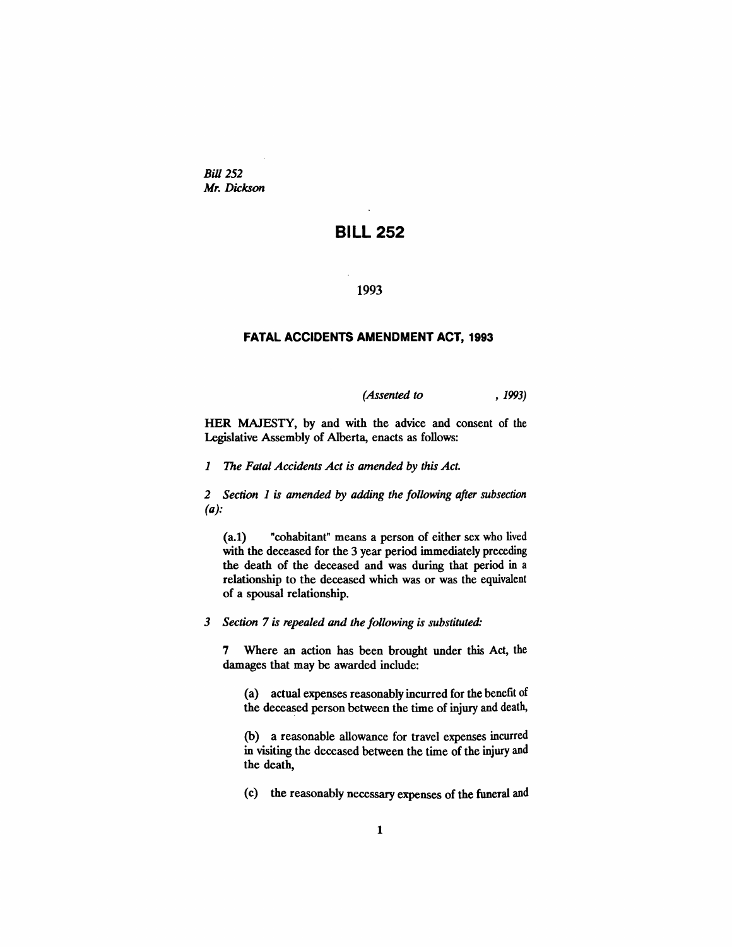*Bill* 252 *Mr. Dickson*

## **BILL 252**

#### 1993

#### **FATAL ACCIDENTS AMENDMENT ACT, 1993**

*(Assented to* , 1993)

HER MAJESTY, by and with the advice and consent of the Legislative Assembly of Alberta, enacts as follows:

*1 The Fatal Accidents Act is amended by this Act.*

*2 Section* 1 *is amended by adding the following after subsection (a):*

(a.I) "cohabitant" means a person of either sex who lived with the deceased for the 3 year period immediately preceding the death of the deceased and was during that period in a relationship to the deceased which was or was the equivalent of a spousal relationship.

*3 Section* 7 *is repealed and the following is substituted:*

7 Where an action has been brought under this Act, the damages that may be awarded include:

(a) actual expenses reasonably incurred for the benefit of the deceased person between the time of injury and death,

(b) a reasonable allowance for travel expenses incurred in visiting the deceased between the time of the injury and the death,

(c) the reasonably necessary expenses of the funeral and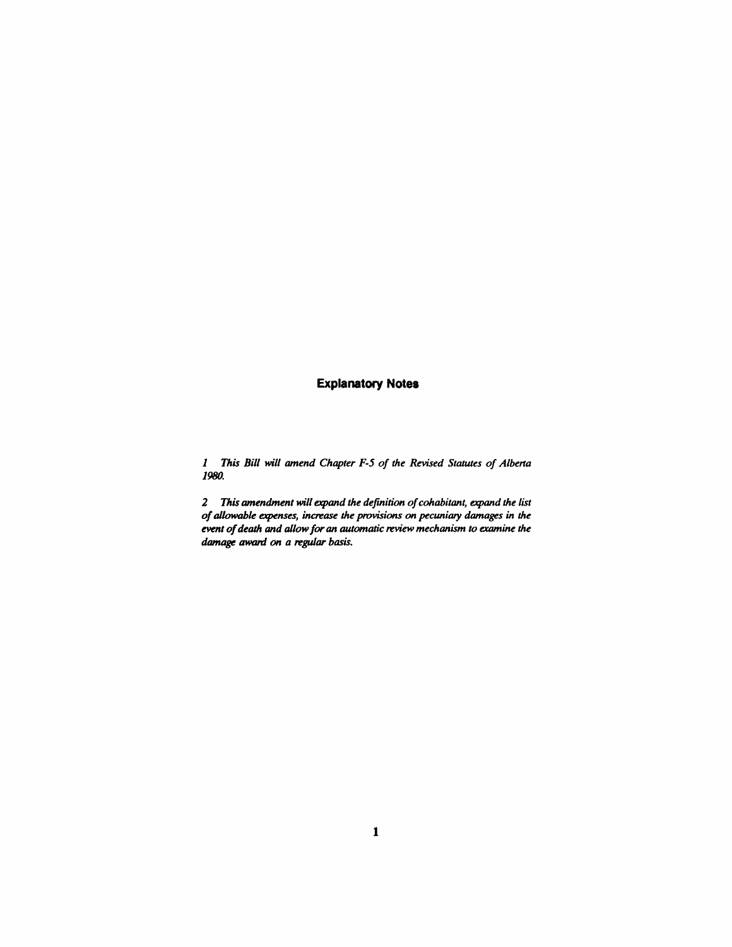## **Explanatory Notes**

*1 This Bill will amend Chapter F-5 of the Revised Statutes of Albena 1980.*

*2 This amendment will expand the definition ofcohabitant, expand the list ofallowable expenses, increase the provisions on pecuniary damages in the event ofdeath and allowfor an automatic review mechanism to examine* the *damage* awanl *on a regular basis.*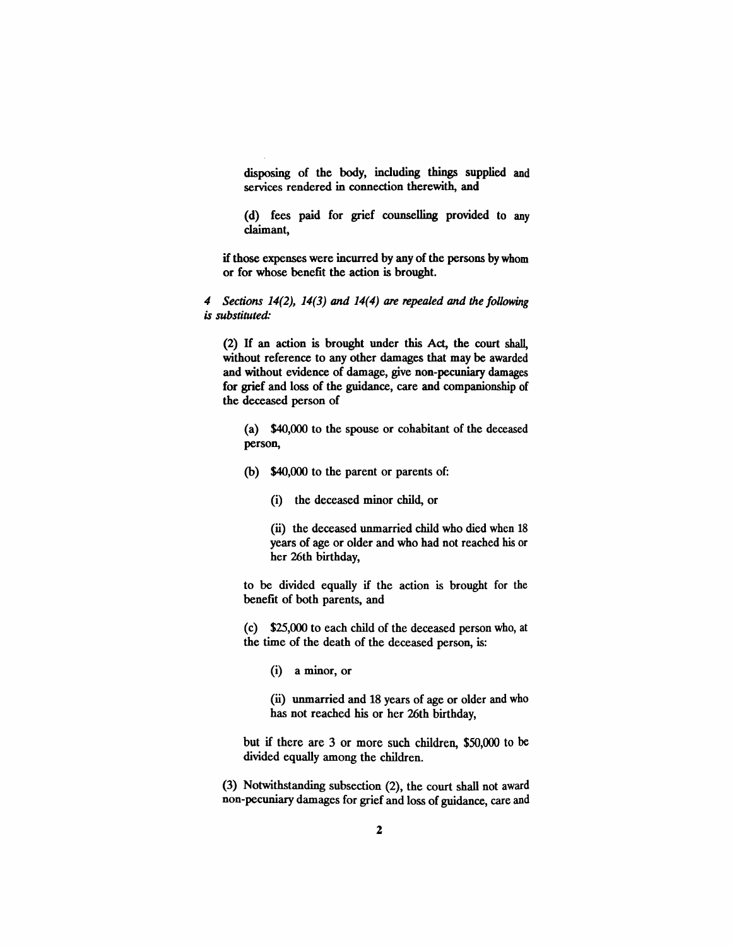disposing of the body, including things supplied and services rendered in connection therewith, and

(d) fees paid for grief counselling provided to any claimant,

if those expenses were incurred by any of the persons by whom or for whose benefit the action is brought.

*4 Sections* 14(2), 14(3) *and* 14(4) *are repealed and the following is substituted:*

(2) If an action is brought under this Act, the court shall, without reference to any other damages that may be awarded and without evidence of damage, give non-pecuniary damages for grief and loss of the guidance, care and companionship of the deceased person of

(a) \$40,000 to the spouse or cohabitant of the deceased person,

(b) \$40,000 to the parent or parents of:

(i) the deceased minor child, or

(ii) the deceased unmarried child who died when 18 years of age or older and who had not reached his or her 26th birthday,

to be divided equally if the action is brought for the benefit of both parents, and

(c) \$25,000 to each child of the deceased person who, at the time of the death of the deceased person, is:

(i) a minor, or

(ii) unmarried and 18 years of age or older and who has not reached his or her 26th birthday,

but if there are 3 or more such children, \$50,000 to be divided equally among the children.

(3) Notwithstanding subsection (2), the court shall not award non-pecuniary damages for grief and loss of guidance, care and